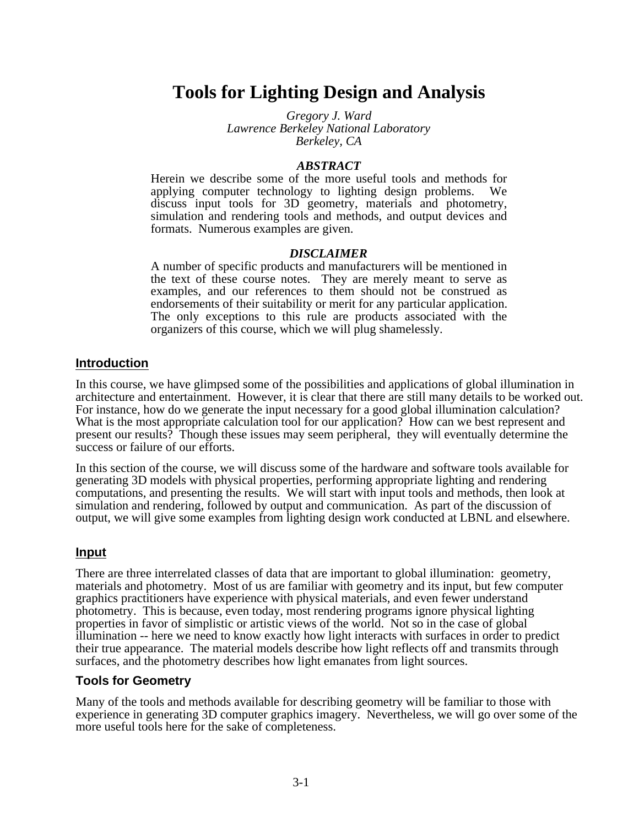# **Tools for Lighting Design and Analysis**

*Gregory J. Ward Lawrence Berkeley National Laboratory Berkeley, CA*

#### *ABSTRACT*

Herein we describe some of the more useful tools and methods for applying computer technology to lighting design problems. We discuss input tools for 3D geometry, materials and photometry, simulation and rendering tools and methods, and output devices and formats. Numerous examples are given.

#### *DISCLAIMER*

A number of specific products and manufacturers will be mentioned in the text of these course notes. They are merely meant to serve as examples, and our references to them should not be construed as endorsements of their suitability or merit for any particular application. The only exceptions to this rule are products associated with the organizers of this course, which we will plug shamelessly.

# **Introduction**

In this course, we have glimpsed some of the possibilities and applications of global illumination in architecture and entertainment. However, it is clear that there are still many details to be worked out. For instance, how do we generate the input necessary for a good global illumination calculation? What is the most appropriate calculation tool for our application? How can we best represent and present our results? Though these issues may seem peripheral, they will eventually determine the success or failure of our efforts.

In this section of the course, we will discuss some of the hardware and software tools available for generating 3D models with physical properties, performing appropriate lighting and rendering computations, and presenting the results. We will start with input tools and methods, then look at simulation and rendering, followed by output and communication. As part of the discussion of output, we will give some examples from lighting design work conducted at LBNL and elsewhere.

### **Input**

There are three interrelated classes of data that are important to global illumination: geometry, materials and photometry. Most of us are familiar with geometry and its input, but few computer graphics practitioners have experience with physical materials, and even fewer understand photometry. This is because, even today, most rendering programs ignore physical lighting properties in favor of simplistic or artistic views of the world. Not so in the case of global illumination -- here we need to know exactly how light interacts with surfaces in order to predict their true appearance. The material models describe how light reflects off and transmits through surfaces, and the photometry describes how light emanates from light sources.

### **Tools for Geometry**

Many of the tools and methods available for describing geometry will be familiar to those with experience in generating 3D computer graphics imagery. Nevertheless, we will go over some of the more useful tools here for the sake of completeness.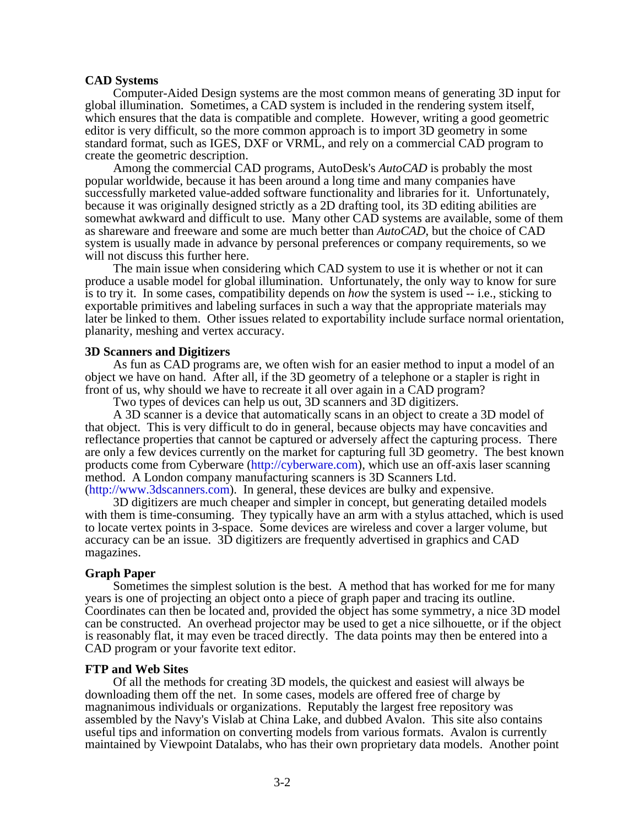#### **CAD Systems**

Computer-Aided Design systems are the most common means of generating 3D input for global illumination. Sometimes, a CAD system is included in the rendering system itself, which ensures that the data is compatible and complete. However, writing a good geometric editor is very difficult, so the more common approach is to import 3D geometry in some standard format, such as IGES, DXF or VRML, and rely on a commercial CAD program to create the geometric description.

Among the commercial CAD programs, AutoDesk's *AutoCAD* is probably the most popular worldwide, because it has been around a long time and many companies have successfully marketed value-added software functionality and libraries for it. Unfortunately, because it was originally designed strictly as a 2D drafting tool, its 3D editing abilities are somewhat awkward and difficult to use. Many other CAD systems are available, some of them as shareware and freeware and some are much better than *AutoCAD*, but the choice of CAD system is usually made in advance by personal preferences or company requirements, so we will not discuss this further here.

The main issue when considering which CAD system to use it is whether or not it can produce a usable model for global illumination. Unfortunately, the only way to know for sure is to try it. In some cases, compatibility depends on *how* the system is used -- i.e., sticking to exportable primitives and labeling surfaces in such a way that the appropriate materials may later be linked to them. Other issues related to exportability include surface normal orientation, planarity, meshing and vertex accuracy.

#### **3D Scanners and Digitizers**

As fun as CAD programs are, we often wish for an easier method to input a model of an object we have on hand. After all, if the 3D geometry of a telephone or a stapler is right in front of us, why should we have to recreate it all over again in a CAD program?

Two types of devices can help us out, 3D scanners and 3D digitizers.

A 3D scanner is a device that automatically scans in an object to create a 3D model of that object. This is very difficult to do in general, because objects may have concavities and reflectance properties that cannot be captured or adversely affect the capturing process. There are only a few devices currently on the market for capturing full 3D geometry. The best known products come from Cyberware [\(http://cyberware.com\),](http://cyberware.com) which use an off-axis laser scanning method. A London company manufacturing scanners is 3D Scanners Ltd. [\(http://www.3dscanners.com\).](http://www.3dscanners.com) In general, these devices are bulky and expensive.

3D digitizers are much cheaper and simpler in concept, but generating detailed models with them is time-consuming. They typically have an arm with a stylus attached, which is used to locate vertex points in 3-space. Some devices are wireless and cover a larger volume, but accuracy can be an issue. 3D digitizers are frequently advertised in graphics and CAD magazines.

#### **Graph Paper**

Sometimes the simplest solution is the best. A method that has worked for me for many years is one of projecting an object onto a piece of graph paper and tracing its outline. Coordinates can then be located and, provided the object has some symmetry, a nice 3D model can be constructed. An overhead projector may be used to get a nice silhouette, or if the object is reasonably flat, it may even be traced directly. The data points may then be entered into a CAD program or your favorite text editor.

#### **FTP and Web Sites**

Of all the methods for creating 3D models, the quickest and easiest will always be downloading them off the net. In some cases, models are offered free of charge by magnanimous individuals or organizations. Reputably the largest free repository was assembled by the Navy's Vislab at China Lake, and dubbed Avalon. This site also contains useful tips and information on converting models from various formats. Avalon is currently maintained by Viewpoint Datalabs, who has their own proprietary data models. Another point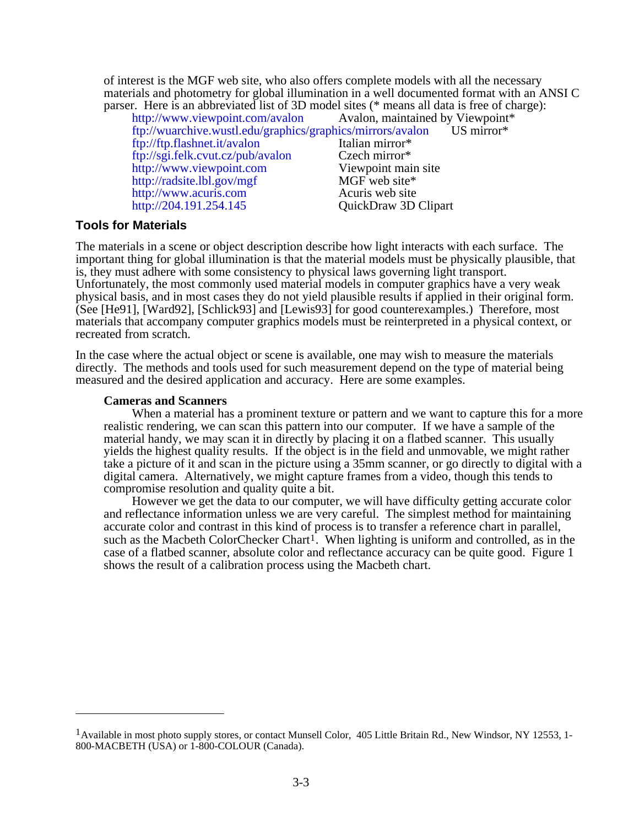of interest is the MGF web site, who also offers complete models with all the necessary materials and photometry for global illumination in a well documented format with an ANSI C parser. Here is an abbreviated list of 3D model sites (\* means all data is free of charge):

| http://www.viewpoint.com/avalon Avalon, maintained by Viewpoint*      |                      |
|-----------------------------------------------------------------------|----------------------|
| ftp://wuarchive.wustl.edu/graphics/graphics/mirrors/avalon US mirror* |                      |
| ftp://ftp.flashnet.it/avalon                                          | Italian mirror*      |
| ftp://sgi.felk.cvut.cz/pub/avalon                                     | Czech mirror*        |
| http://www.viewpoint.com                                              | Viewpoint main site  |
| http://radsite.lbl.gov/mgf                                            | MGF web site*        |
| http://www.acuris.com                                                 | Acuris web site      |
| http://204.191.254.145                                                | QuickDraw 3D Clipart |
|                                                                       |                      |

# **Tools for Materials**

The materials in a scene or object description describe how light interacts with each surface. The important thing for global illumination is that the material models must be physically plausible, that is, they must adhere with some consistency to physical laws governing light transport. Unfortunately, the most commonly used material models in computer graphics have a very weak physical basis, and in most cases they do not yield plausible results if applied in their original form. (See [He91], [Ward92], [Schlick93] and [Lewis93] for good counterexamples.) Therefore, most materials that accompany computer graphics models must be reinterpreted in a physical context, or recreated from scratch.

In the case where the actual object or scene is available, one may wish to measure the materials directly. The methods and tools used for such measurement depend on the type of material being measured and the desired application and accuracy. Here are some examples.

#### **Cameras and Scanners**

When a material has a prominent texture or pattern and we want to capture this for a more realistic rendering, we can scan this pattern into our computer. If we have a sample of the material handy, we may scan it in directly by placing it on a flatbed scanner. This usually yields the highest quality results. If the object is in the field and unmovable, we might rather take a picture of it and scan in the picture using a 35mm scanner, or go directly to digital with a digital camera. Alternatively, we might capture frames from a video, though this tends to compromise resolution and quality quite a bit.

However we get the data to our computer, we will have difficulty getting accurate color and reflectance information unless we are very careful. The simplest method for maintaining accurate color and contrast in this kind of process is to transfer a reference chart in parallel, such as the Macbeth ColorChecker Chart<sup>1</sup>. When lighting is uniform and controlled, as in the case of a flatbed scanner, absolute color and reflectance accuracy can be quite good. Figure 1 shows the result of a calibration process using the Macbeth chart.

<sup>&</sup>lt;sup>1</sup> Available in most photo supply stores, or contact Munsell Color, 405 Little Britain Rd., New Windsor, NY 12553, 1-800-MACBETH (USA) or 1-800-COLOUR (Canada).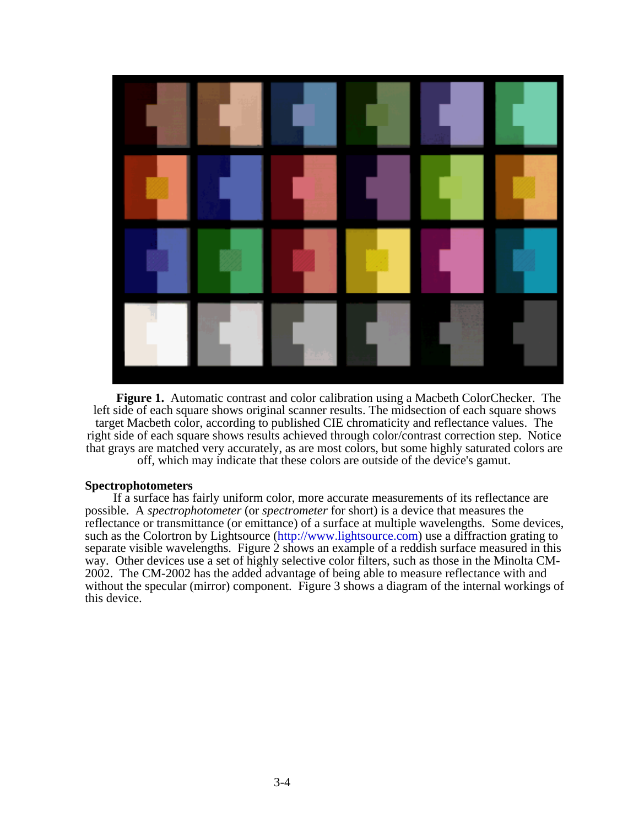

**Figure 1.** Automatic contrast and color calibration using a Macbeth ColorChecker. The left side of each square shows original scanner results. The midsection of each square shows target Macbeth color, according to published CIE chromaticity and reflectance values. The right side of each square shows results achieved through color/contrast correction step. Notice that grays are matched very accurately, as are most colors, but some highly saturated colors are off, which may indicate that these colors are outside of the device's gamut.

#### **Spectrophotometers**

If a surface has fairly uniform color, more accurate measurements of its reflectance are possible. A *spectrophotometer* (or *spectrometer* for short) is a device that measures the reflectance or transmittance (or emittance) of a surface at multiple wavelengths. Some devices, such as the [Colortron by Lightsource \(http://www.lightsource.com\)](http://www.lightsource.com) use a diffraction grating to separate visible wavelengths. Figure 2 shows an example of a reddish surface measured in this way. Other devices use a set of highly selective color filters, such as those in the Minolta CM-2002. The CM-2002 has the added advantage of being able to measure reflectance with and without the specular (mirror) component. Figure 3 shows a diagram of the internal workings of this device.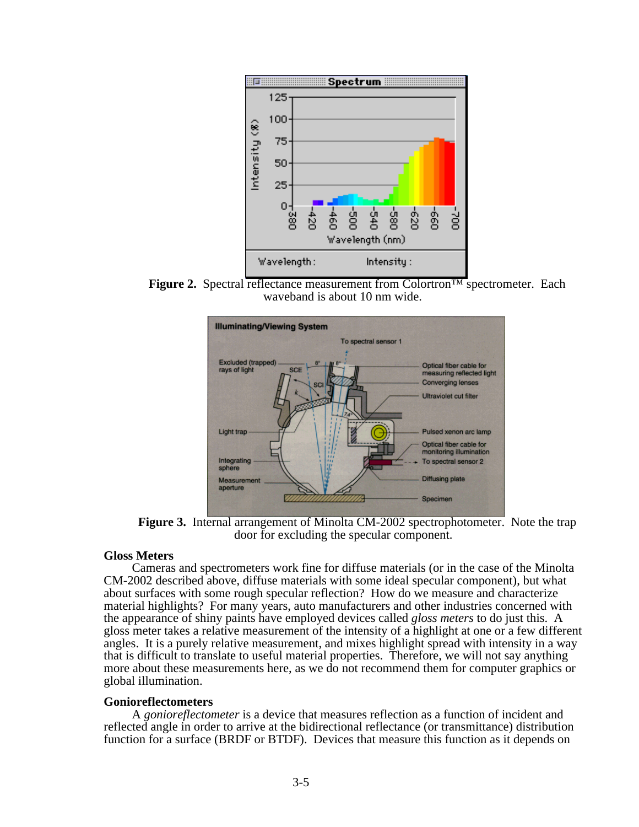

**Figure 2.** Spectral reflectance measurement from Colortron™ spectrometer. Each waveband is about 10 nm wide.



**Figure 3.** Internal arrangement of Minolta CM-2002 spectrophotometer. Note the trap door for excluding the specular component.

#### **Gloss Meters**

Cameras and spectrometers work fine for diffuse materials (or in the case of the Minolta CM-2002 described above, diffuse materials with some ideal specular component), but what about surfaces with some rough specular reflection? How do we measure and characterize material highlights? For many years, auto manufacturers and other industries concerned with the appearance of shiny paints have employed devices called *gloss meters* to do just this. A gloss meter takes a relative measurement of the intensity of a highlight at one or a few different angles. It is a purely relative measurement, and mixes highlight spread with intensity in a way that is difficult to translate to useful material properties. Therefore, we will not say anything more about these measurements here, as we do not recommend them for computer graphics or global illumination.

#### **Gonioreflectometers**

A *gonioreflectometer* is a device that measures reflection as a function of incident and reflected angle in order to arrive at the bidirectional reflectance (or transmittance) distribution function for a surface (BRDF or BTDF). Devices that measure this function as it depends on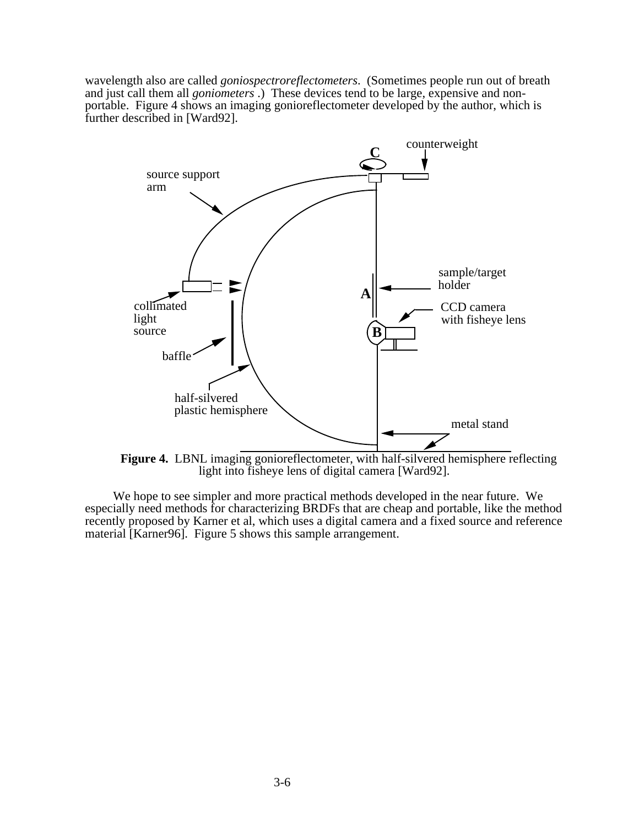wavelength also are called *goniospectroreflectometers*. (Sometimes people run out of breath and just call them all *goniometers* .) These devices tend to be large, expensive and nonportable. Figure 4 shows an imaging gonioreflectometer developed by the author, which is further described in [Ward92].



**Figure 4.** LBNL imaging gonioreflectometer, with half-silvered hemisphere reflecting light into fisheye lens of digital camera [Ward92].

We hope to see simpler and more practical methods developed in the near future. We especially need methods for characterizing BRDFs that are cheap and portable, like the method recently proposed by Karner et al, which uses a digital camera and a fixed source and reference material [Karner96]. Figure 5 shows this sample arrangement.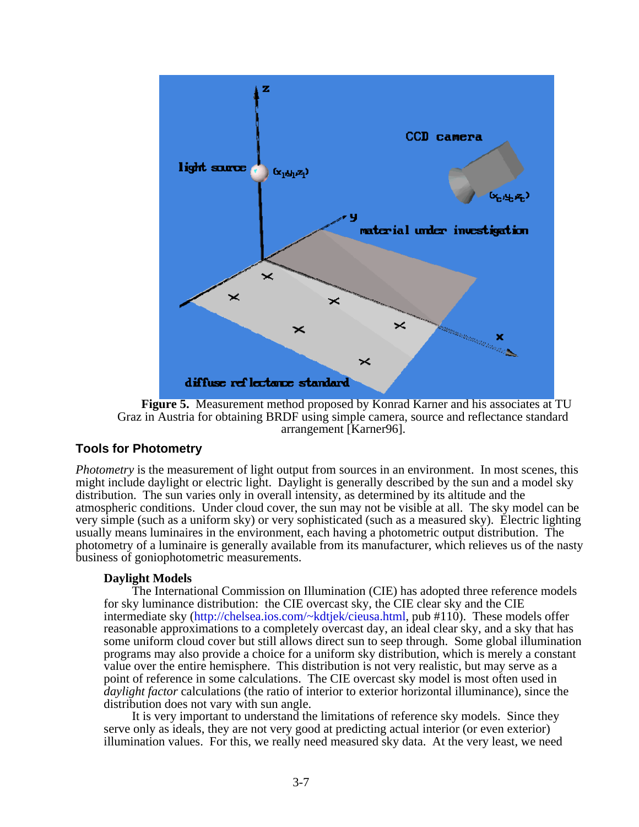

**Figure 5.** Measurement method proposed by Konrad Karner and his associates at TU Graz in Austria for obtaining BRDF using simple camera, source and reflectance standard arrangement [Karner96].

### **Tools for Photometry**

*Photometry* is the measurement of light output from sources in an environment. In most scenes, this might include daylight or electric light. Daylight is generally described by the sun and a model sky distribution. The sun varies only in overall intensity, as determined by its altitude and the atmospheric conditions. Under cloud cover, the sun may not be visible at all. The sky model can be very simple (such as a uniform sky) or very sophisticated (such as a measured sky). Electric lighting usually means luminaires in the environment, each having a photometric output distribution. The photometry of a luminaire is generally available from its manufacturer, which relieves us of the nasty business of goniophotometric measurements.

### **Daylight Models**

The International Commission on Illumination (CIE) has adopted three reference models for sky luminance distribution: the CIE overcast sky, the CIE clear sky and the CIE intermediate sky [\(http://chelsea.ios.com/~kdtjek/cieusa.html,](http://chelsea.ios.com/~kdtjek/cieusa.html) pub #110). These models offer reasonable approximations to a completely overcast day, an ideal clear sky, and a sky that has some uniform cloud cover but still allows direct sun to seep through. Some global illumination programs may also provide a choice for a uniform sky distribution, which is merely a constant value over the entire hemisphere. This distribution is not very realistic, but may serve as a point of reference in some calculations. The CIE overcast sky model is most often used in *daylight factor* calculations (the ratio of interior to exterior horizontal illuminance), since the distribution does not vary with sun angle.

It is very important to understand the limitations of reference sky models. Since they serve only as ideals, they are not very good at predicting actual interior (or even exterior) illumination values. For this, we really need measured sky data. At the very least, we need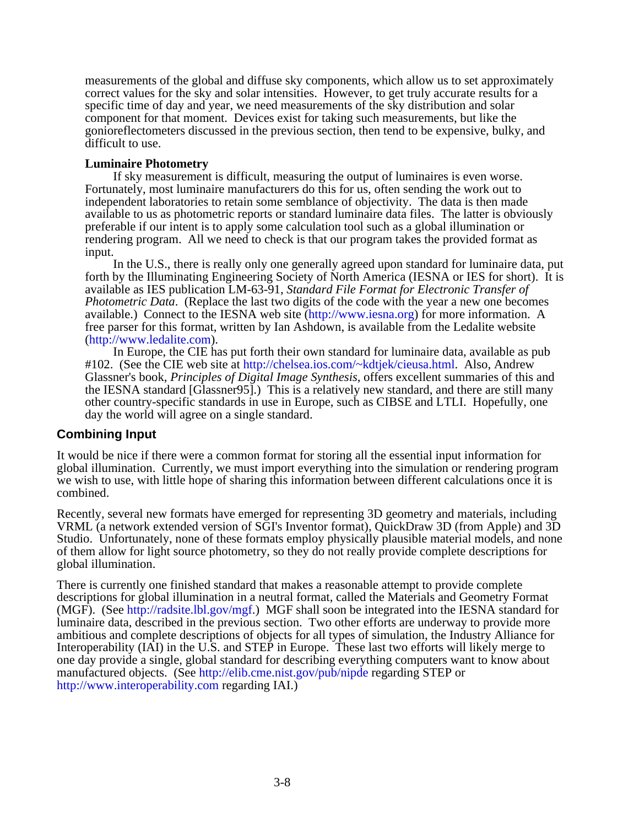measurements of the global and diffuse sky components, which allow us to set approximately correct values for the sky and solar intensities. However, to get truly accurate results for a specific time of day and year, we need measurements of the sky distribution and solar component for that moment. Devices exist for taking such measurements, but like the gonioreflectometers discussed in the previous section, then tend to be expensive, bulky, and difficult to use.

#### **Luminaire Photometry**

If sky measurement is difficult, measuring the output of luminaires is even worse. Fortunately, most luminaire manufacturers do this for us, often sending the work out to independent laboratories to retain some semblance of objectivity. The data is then made available to us as photometric reports or standard luminaire data files. The latter is obviously preferable if our intent is to apply some calculation tool such as a global illumination or rendering program. All we need to check is that our program takes the provided format as input.

In the U.S., there is really only one generally agreed upon standard for luminaire data, put forth by the Illuminating Engineering Society of North America (IESNA or IES for short). It is available as IES publication LM-63-91, *Standard File Format for Electronic Transfer of Photometric Data*. (Replace the last two digits of the code with the year a new one becomes available.) Connect to the IESNA web site [\(http://www.iesna.org\)](http://www.iesna.org) for more information. A free parser for this format, written by Ian Ashdown, is available from the Ledalite website [\(http://www.ledalite.com\).](http://www.ledalite.com)

In Europe, the CIE has put forth their own standard for luminaire data, available as pub #102. (See the CIE web site at [http://chelsea.ios.com/~kdtjek/cieusa.html.](http://chelsea.ios.com/~kdtjek/cieusa.html) Also, Andrew Glassner's book, *Principles of Digital Image Synthesis*, offers excellent summaries of this and the IESNA standard [Glassner95].) This is a relatively new standard, and there are still many other country-specific standards in use in Europe, such as CIBSE and LTLI. Hopefully, one day the world will agree on a single standard.

### **Combining Input**

It would be nice if there were a common format for storing all the essential input information for global illumination. Currently, we must import everything into the simulation or rendering program we wish to use, with little hope of sharing this information between different calculations once it is combined.

Recently, several new formats have emerged for representing 3D geometry and materials, including VRML (a network extended version of SGI's Inventor format), QuickDraw 3D (from Apple) and 3D Studio. Unfortunately, none of these formats employ physically plausible material models, and none of them allow for light source photometry, so they do not really provide complete descriptions for global illumination.

There is currently one finished standard that makes a reasonable attempt to provide complete descriptions for global illumination in a neutral format, called the Materials and Geometry Format (MGF). (See [http://radsite.lbl.gov/mgf.\)](http://radsite.lbl.gov/mgf) MGF shall soon be integrated into the IESNA standard for luminaire data, described in the previous section. Two other efforts are underway to provide more ambitious and complete descriptions of objects for all types of simulation, the Industry Alliance for Interoperability (IAI) in the U.S. and STEP in Europe. These last two efforts will likely merge to one day provide a single, global standard for describing everything computers want to know about manufactured objects. (See <http://elib.cme.nist.gov/pub/nipde> regarding STEP or <http://www.interoperability.com>regarding IAI.)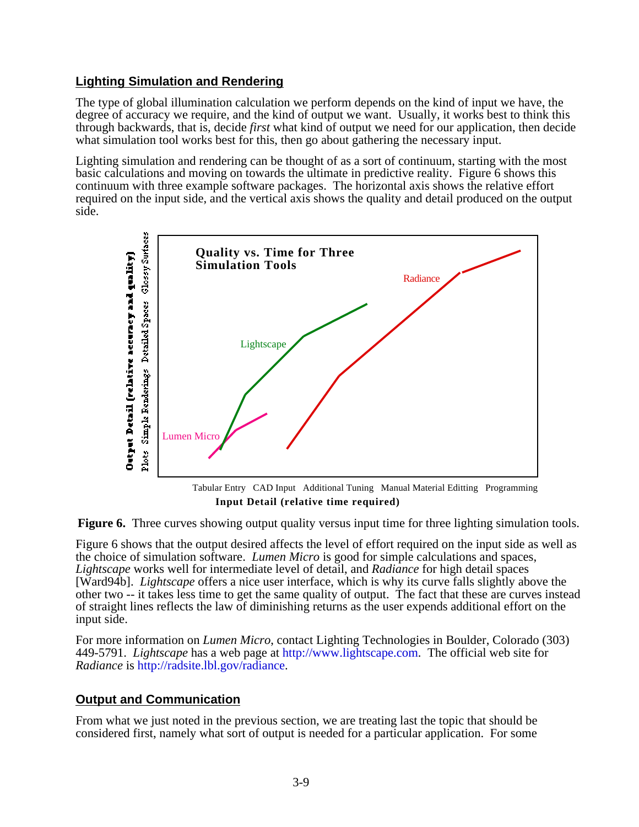# **Lighting Simulation and Rendering**

The type of global illumination calculation we perform depends on the kind of input we have, the degree of accuracy we require, and the kind of output we want. Usually, it works best to think this through backwards, that is, decide *first* what kind of output we need for our application, then decide what simulation tool works best for this, then go about gathering the necessary input.

Lighting simulation and rendering can be thought of as a sort of continuum, starting with the most basic calculations and moving on towards the ultimate in predictive reality. Figure 6 shows this continuum with three example software packages. The horizontal axis shows the relative effort required on the input side, and the vertical axis shows the quality and detail produced on the output side.



**Input Detail (relative time required)**



Figure 6 shows that the output desired affects the level of effort required on the input side as well as the choice of simulation software. *Lumen Micro* is good for simple calculations and spaces, *Lightscape* works well for intermediate level of detail, and *Radiance* for high detail spaces [Ward94b]. *Lightscape* offers a nice user interface, which is why its curve falls slightly above the other two -- it takes less time to get the same quality of output. The fact that these are curves instead of straight lines reflects the law of diminishing returns as the user expends additional effort on the input side.

For more information on *Lumen Micro*, contact Lighting Technologies in Boulder, Colorado (303) 449-5791. *Lightscape* has a web page at [http://www.lightscape.com.](http://www.lightscape.com) The official web site for *Radiance* is [http://radsite.lbl.gov/radiance.](http://radsite.lbl.gov/radiance)

# **Output and Communication**

From what we just noted in the previous section, we are treating last the topic that should be considered first, namely what sort of output is needed for a particular application. For some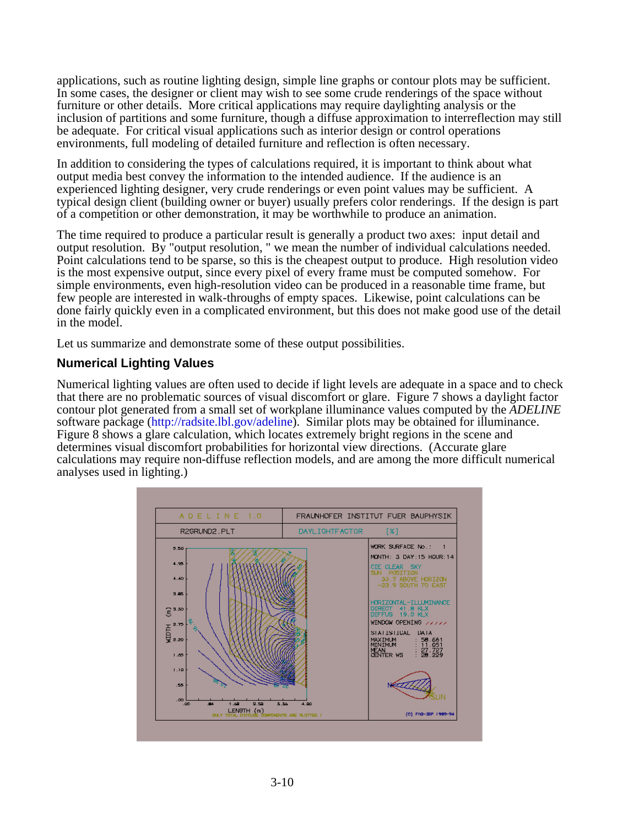applications, such as routine lighting design, simple line graphs or contour plots may be sufficient. In some cases, the designer or client may wish to see some crude renderings of the space without furniture or other details. More critical applications may require daylighting analysis or the inclusion of partitions and some furniture, though a diffuse approximation to interreflection may still be adequate. For critical visual applications such as interior design or control operations environments, full modeling of detailed furniture and reflection is often necessary.

In addition to considering the types of calculations required, it is important to think about what output media best convey the information to the intended audience. If the audience is an experienced lighting designer, very crude renderings or even point values may be sufficient. A typical design client (building owner or buyer) usually prefers color renderings. If the design is part of a competition or other demonstration, it may be worthwhile to produce an animation.

The time required to produce a particular result is generally a product two axes: input detail and output resolution. By "output resolution, " we mean the number of individual calculations needed. Point calculations tend to be sparse, so this is the cheapest output to produce. High resolution video is the most expensive output, since every pixel of every frame must be computed somehow. For simple environments, even high-resolution video can be produced in a reasonable time frame, but few people are interested in walk-throughs of empty spaces. Likewise, point calculations can be done fairly quickly even in a complicated environment, but this does not make good use of the detail in the model.

Let us summarize and demonstrate some of these output possibilities.

# **Numerical Lighting Values**

Numerical lighting values are often used to decide if light levels are adequate in a space and to check that there are no problematic sources of visual discomfort or glare. Figure 7 shows a daylight factor contour plot generated from a small set of workplane illuminance values computed by the *ADELINE* software package [\(http://radsite.lbl.gov/adeline\).](http://radsite.lbl.gov/adeline) Similar plots may be obtained for illuminance. Figure 8 shows a glare calculation, which locates extremely bright regions in the scene and determines visual discomfort probabilities for horizontal view directions. (Accurate glare calculations may require non-diffuse reflection models, and are among the more difficult numerical analyses used in lighting.)

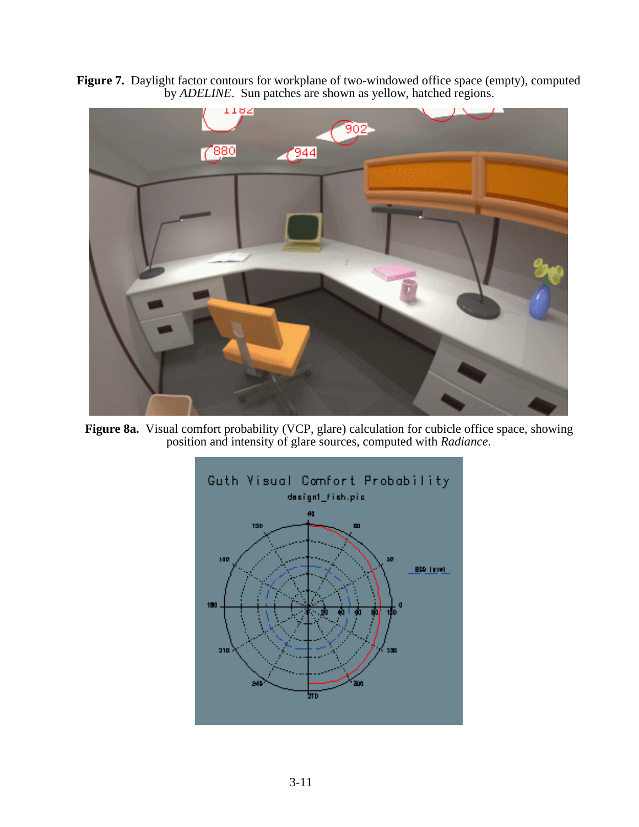**Figure 7.** Daylight factor contours for workplane of two-windowed office space (empty), computed by *ADELINE*. Sun patches are shown as yellow, hatched regions.



**Figure 8a.** Visual comfort probability (VCP, glare) calculation for cubicle office space, showing position and intensity of glare sources, computed with *Radiance*.

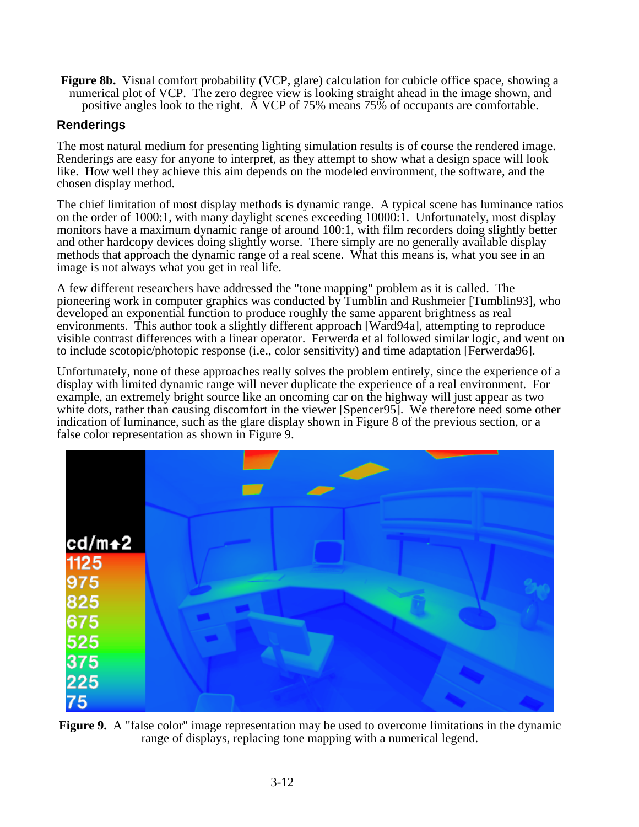**Figure 8b.** Visual comfort probability (VCP, glare) calculation for cubicle office space, showing a numerical plot of VCP. The zero degree view is looking straight ahead in the image shown, and positive angles look to the right. A VCP of 75% means 75% of occupants are comfortable.

# **Renderings**

The most natural medium for presenting lighting simulation results is of course the rendered image. Renderings are easy for anyone to interpret, as they attempt to show what a design space will look like. How well they achieve this aim depends on the modeled environment, the software, and the chosen display method.

The chief limitation of most display methods is dynamic range. A typical scene has luminance ratios on the order of 1000:1, with many daylight scenes exceeding 10000:1. Unfortunately, most display monitors have a maximum dynamic range of around 100:1, with film recorders doing slightly better and other hardcopy devices doing slightly worse. There simply are no generally available display methods that approach the dynamic range of a real scene. What this means is, what you see in an image is not always what you get in real life.

A few different researchers have addressed the "tone mapping" problem as it is called. The pioneering work in computer graphics was conducted by Tumblin and Rushmeier [Tumblin93], who developed an exponential function to produce roughly the same apparent brightness as real environments. This author took a slightly different approach [Ward94a], attempting to reproduce visible contrast differences with a linear operator. Ferwerda et al followed similar logic, and went on to include scotopic/photopic response (i.e., color sensitivity) and time adaptation [Ferwerda96].

Unfortunately, none of these approaches really solves the problem entirely, since the experience of a display with limited dynamic range will never duplicate the experience of a real environment. For example, an extremely bright source like an oncoming car on the highway will just appear as two white dots, rather than causing discomfort in the viewer [Spencer95]. We therefore need some other indication of luminance, such as the glare display shown in Figure 8 of the previous section, or a false color representation as shown in Figure 9.



**Figure 9.** A "false color" image representation may be used to overcome limitations in the dynamic range of displays, replacing tone mapping with a numerical legend.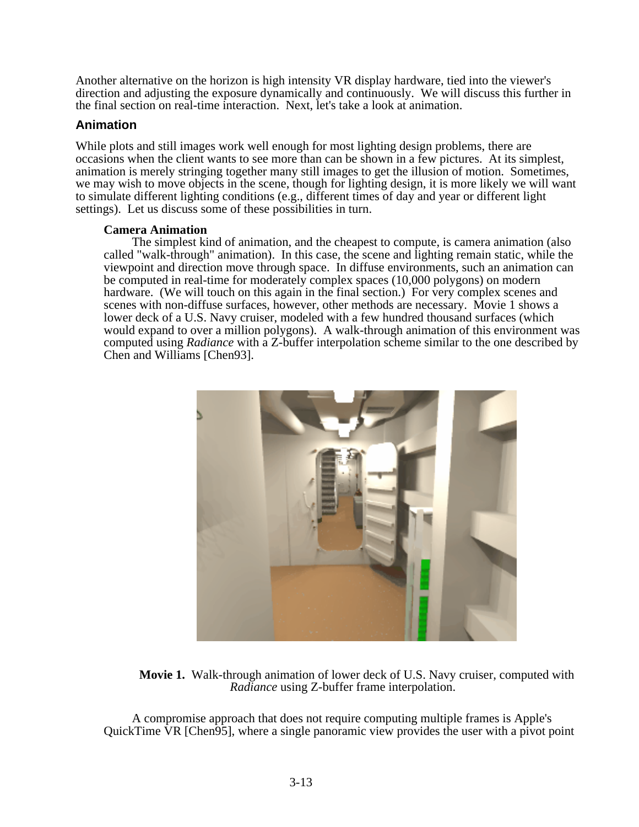Another alternative on the horizon is high intensity VR display hardware, tied into the viewer's direction and adjusting the exposure dynamically and continuously. We will discuss this further in the final section on real-time interaction. Next, let's take a look at animation.

# **Animation**

While plots and still images work well enough for most lighting design problems, there are occasions when the client wants to see more than can be shown in a few pictures. At its simplest, animation is merely stringing together many still images to get the illusion of motion. Sometimes, we may wish to move objects in the scene, though for lighting design, it is more likely we will want to simulate different lighting conditions (e.g., different times of day and year or different light settings). Let us discuss some of these possibilities in turn.

#### **Camera Animation**

The simplest kind of animation, and the cheapest to compute, is camera animation (also called "walk-through" animation). In this case, the scene and lighting remain static, while the viewpoint and direction move through space. In diffuse environments, such an animation can be computed in real-time for moderately complex spaces (10,000 polygons) on modern hardware. (We will touch on this again in the final section.) For very complex scenes and scenes with non-diffuse surfaces, however, other methods are necessary. Movie 1 shows a lower deck of a U.S. Navy cruiser, modeled with a few hundred thousand surfaces (which would expand to over a million polygons). A walk-through animation of this environment was computed using *Radiance* with a Z-buffer interpolation scheme similar to the one described by Chen and Williams [Chen93].



**Movie 1.** Walk-through animation of lower deck of U.S. Navy cruiser, computed with *Radiance* using Z-buffer frame interpolation.

A compromise approach that does not require computing multiple frames is Apple's QuickTime VR [Chen95], where a single panoramic view provides the user with a pivot point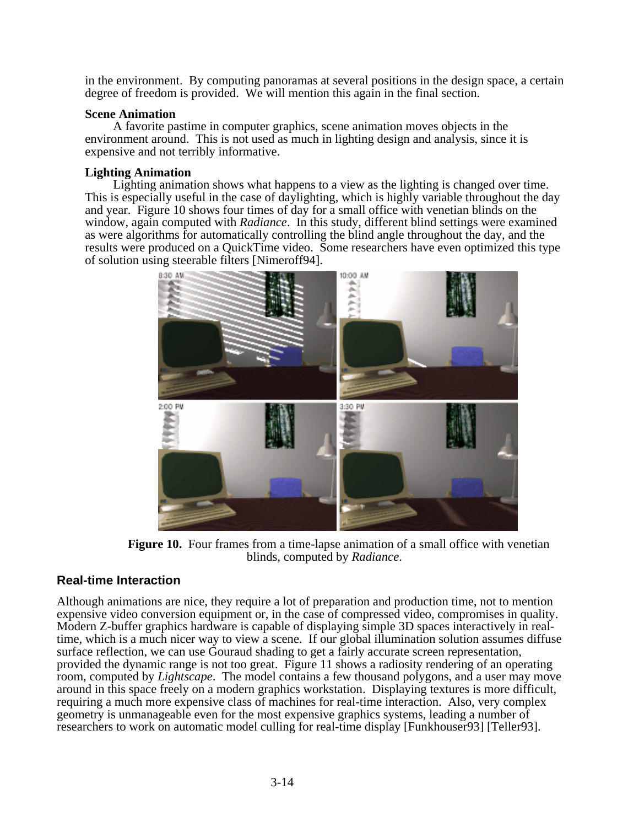in the environment. By computing panoramas at several positions in the design space, a certain degree of freedom is provided. We will mention this again in the final section.

#### **Scene Animation**

A favorite pastime in computer graphics, scene animation moves objects in the environment around. This is not used as much in lighting design and analysis, since it is expensive and not terribly informative.

#### **Lighting Animation**

Lighting animation shows what happens to a view as the lighting is changed over time. This is especially useful in the case of daylighting, which is highly variable throughout the day and year. Figure 10 shows four times of day for a small office with venetian blinds on the window, again computed with *Radiance*. In this study, different blind settings were examined as were algorithms for automatically controlling the blind angle throughout the day, and the results were produced on a QuickTime video. Some researchers have even optimized this type of solution using steerable filters [Nimeroff94].



**Figure 10.** Four frames from a time-lapse animation of a small office with venetian blinds, computed by *Radiance*.

# **Real-time Interaction**

Although animations are nice, they require a lot of preparation and production time, not to mention expensive video conversion equipment or, in the case of compressed video, compromises in quality. Modern Z-buffer graphics hardware is capable of displaying simple 3D spaces interactively in realtime, which is a much nicer way to view a scene. If our global illumination solution assumes diffuse surface reflection, we can use Gouraud shading to get a fairly accurate screen representation, provided the dynamic range is not too great. Figure 11 shows a radiosity rendering of an operating room, computed by *Lightscape*. The model contains a few thousand polygons, and a user may move around in this space freely on a modern graphics workstation. Displaying textures is more difficult, requiring a much more expensive class of machines for real-time interaction. Also, very complex geometry is unmanageable even for the most expensive graphics systems, leading a number of researchers to work on automatic model culling for real-time display [Funkhouser93] [Teller93].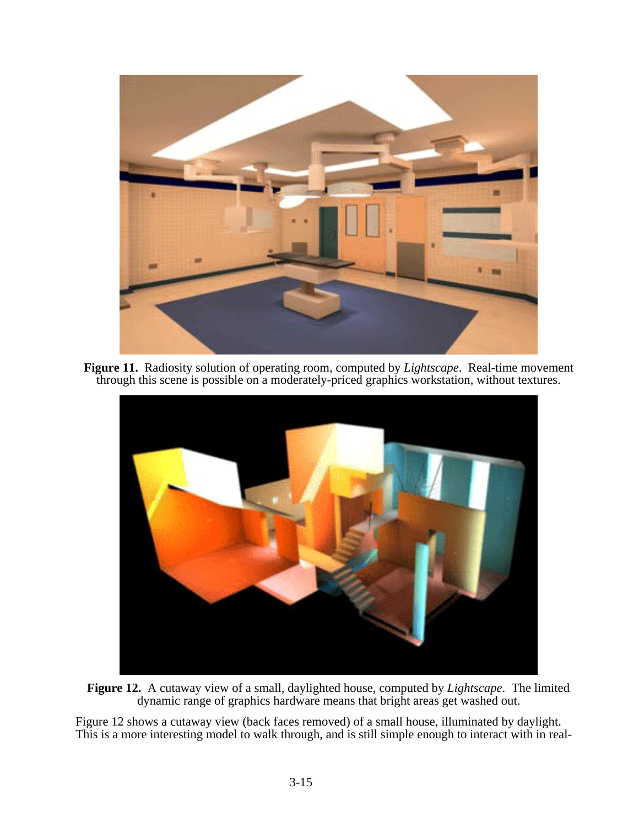

**Figure 11.** Radiosity solution of operating room, computed by *Lightscape*. Real-time movement through this scene is possible on a moderately-priced graphics workstation, without textures.



**Figure 12.** A cutaway view of a small, daylighted house, computed by *Lightscape*. The limited dynamic range of graphics hardware means that bright areas get washed out.

Figure 12 shows a cutaway view (back faces removed) of a small house, illuminated by daylight. This is a more interesting model to walk through, and is still simple enough to interact with in real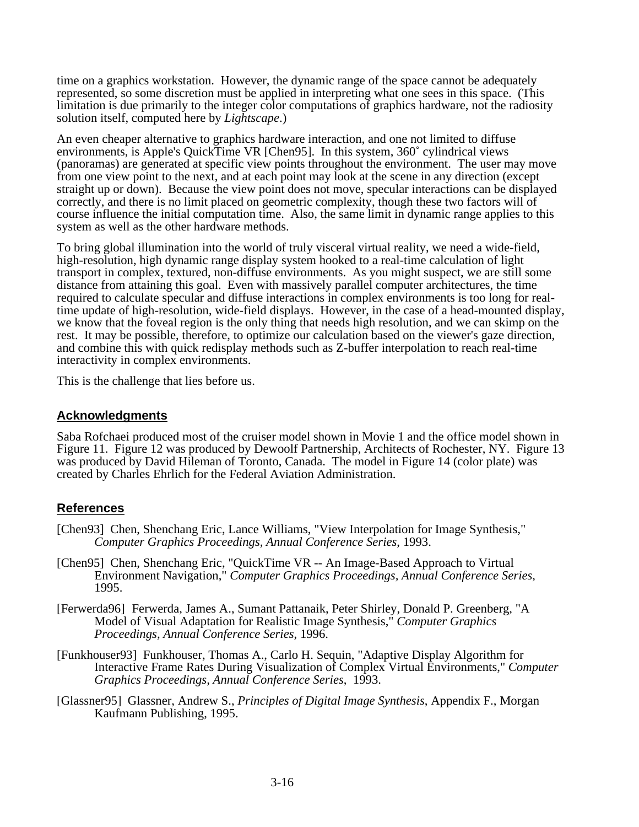time on a graphics workstation. However, the dynamic range of the space cannot be adequately represented, so some discretion must be applied in interpreting what one sees in this space. (This limitation is due primarily to the integer color computations of graphics hardware, not the radiosity solution itself, computed here by *Lightscape*.)

An even cheaper alternative to graphics hardware interaction, and one not limited to diffuse environments, is Apple's QuickTime VR [Chen95]. In this system, 360˚ cylindrical views (panoramas) are generated at specific view points throughout the environment. The user may move from one view point to the next, and at each point may look at the scene in any direction (except straight up or down). Because the view point does not move, specular interactions can be displayed correctly, and there is no limit placed on geometric complexity, though these two factors will of course influence the initial computation time. Also, the same limit in dynamic range applies to this system as well as the other hardware methods.

To bring global illumination into the world of truly visceral virtual reality, we need a wide-field, high-resolution, high dynamic range display system hooked to a real-time calculation of light transport in complex, textured, non-diffuse environments. As you might suspect, we are still some distance from attaining this goal. Even with massively parallel computer architectures, the time required to calculate specular and diffuse interactions in complex environments is too long for realtime update of high-resolution, wide-field displays. However, in the case of a head-mounted display, we know that the foveal region is the only thing that needs high resolution, and we can skimp on the rest. It may be possible, therefore, to optimize our calculation based on the viewer's gaze direction, and combine this with quick redisplay methods such as Z-buffer interpolation to reach real-time interactivity in complex environments.

This is the challenge that lies before us.

### **Acknowledgments**

Saba Rofchaei produced most of the cruiser model shown in Movie 1 and the office model shown in Figure 11. Figure 12 was produced by Dewoolf Partnership, Architects of Rochester, NY. Figure 13 was produced by David Hileman of Toronto, Canada. The model in Figure 14 (color plate) was created by Charles Ehrlich for the Federal Aviation Administration.

# **References**

- [Chen93] Chen, Shenchang Eric, Lance Williams, "View Interpolation for Image Synthesis," *Computer Graphics Proceedings, Annual Conference Series*, 1993.
- [Chen95] Chen, Shenchang Eric, "QuickTime VR -- An Image-Based Approach to Virtual Environment Navigation," *Computer Graphics Proceedings, Annual Conference Series*, 1995.
- [Ferwerda96] Ferwerda, James A., Sumant Pattanaik, Peter Shirley, Donald P. Greenberg, "A Model of Visual Adaptation for Realistic Image Synthesis," *Computer Graphics Proceedings, Annual Conference Series*, 1996.
- [Funkhouser93] Funkhouser, Thomas A., Carlo H. Sequin, "Adaptive Display Algorithm for Interactive Frame Rates During Visualization of Complex Virtual Environments," *Computer Graphics Proceedings, Annual Conference Series*, 1993.
- [Glassner95] Glassner, Andrew S., *Principles of Digital Image Synthesis*, Appendix F., Morgan Kaufmann Publishing, 1995.